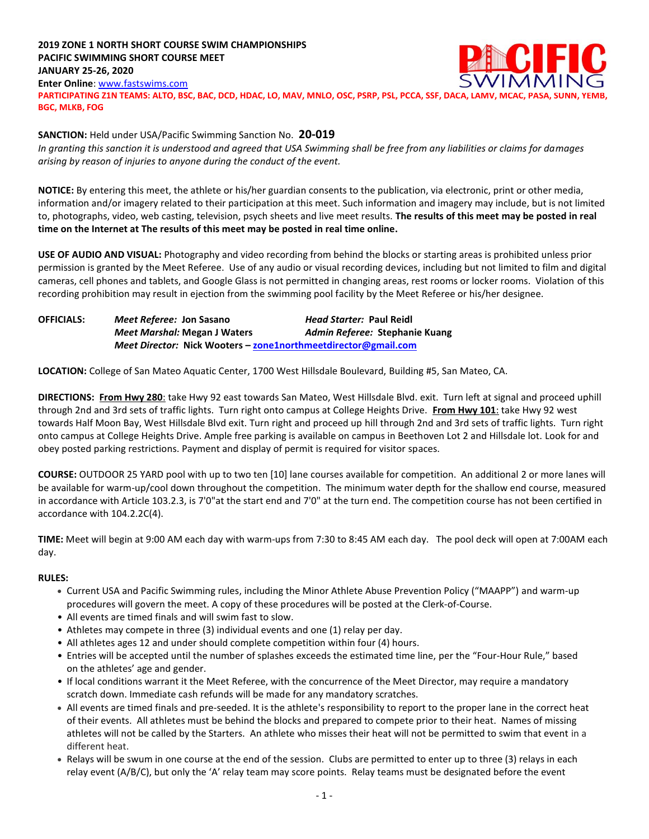## **2019 ZONE 1 NORTH SHORT COURSE SWIM CHAMPIONSHIPS PACIFIC SWIMMING SHORT COURSE MEET JANUARY 25-26, 2020 Enter Online**: [www.fastswims.com](http://www.fastswims.com/) **PARTICIPATING Z1N TEAMS: ALTO, BSC, BAC, DCD, HDAC, LO, MAV, MNLO, OSC, PSRP, PSL, PCCA, SSF, DACA, LAMV, MCAC, PASA, SUNN, YEMB, BGC, MLKB, FOG**

### **SANCTION:** Held under USA/Pacific Swimming Sanction No. **20-019**

*In granting this sanction it is understood and agreed that USA Swimming shall be free from any liabilities or claims for damages arising by reason of injuries to anyone during the conduct of the event.*

**NOTICE:** By entering this meet, the athlete or his/her guardian consents to the publication, via electronic, print or other media, information and/or imagery related to their participation at this meet. Such information and imagery may include, but is not limited to, photographs, video, web casting, television, psych sheets and live meet results. **The results of this meet may be posted in real time on the Internet at The results of this meet may be posted in real time online.**

**USE OF AUDIO AND VISUAL:** Photography and video recording from behind the blocks or starting areas is prohibited unless prior permission is granted by the Meet Referee. Use of any audio or visual recording devices, including but not limited to film and digital cameras, cell phones and tablets, and Google Glass is not permitted in changing areas, rest rooms or locker rooms. Violation of this recording prohibition may result in ejection from the swimming pool facility by the Meet Referee or his/her designee.

| <b>OFFICIALS:</b> | <i>Meet Referee: Jon Sasano</i>                                       | <i>Head Starter: Paul Reidl</i> |  |  |  |  |  |  |
|-------------------|-----------------------------------------------------------------------|---------------------------------|--|--|--|--|--|--|
|                   | <b>Meet Marshal: Megan J Waters</b>                                   | Admin Referee: Stephanie Kuang  |  |  |  |  |  |  |
|                   | <i>Meet Director:</i> Nick Wooters – zone1northmeetdirector@gmail.com |                                 |  |  |  |  |  |  |

**LOCATION:** College of San Mateo Aquatic Center, 1700 West Hillsdale Boulevard, Building #5, San Mateo, CA.

**DIRECTIONS: From Hwy 280**: take Hwy 92 east towards San Mateo, West Hillsdale Blvd. exit. Turn left at signal and proceed uphill through 2nd and 3rd sets of traffic lights. Turn right onto campus at College Heights Drive. **From Hwy 101**: take Hwy 92 west towards Half Moon Bay, West Hillsdale Blvd exit. Turn right and proceed up hill through 2nd and 3rd sets of traffic lights. Turn right onto campus at College Heights Drive. Ample free parking is available on campus in Beethoven Lot 2 and Hillsdale lot. Look for and obey posted parking restrictions. Payment and display of permit is required for visitor spaces.

**COURSE:** OUTDOOR 25 YARD pool with up to two ten [10] lane courses available for competition. An additional 2 or more lanes will be available for warm-up/cool down throughout the competition. The minimum water depth for the shallow end course, measured in accordance with Article 103.2.3, is 7'0"at the start end and 7'0" at the turn end. The competition course has not been certified in accordance with 104.2.2C(4).

**TIME:** Meet will begin at 9:00 AM each day with warm-ups from 7:30 to 8:45 AM each day. The pool deck will open at 7:00AM each day.

## **RULES:**

- Current USA and Pacific Swimming rules, including the Minor Athlete Abuse Prevention Policy ("MAAPP") and warm-up procedures will govern the meet. A copy of these procedures will be posted at the Clerk-of-Course.
- All events are timed finals and will swim fast to slow.
- Athletes may compete in three (3) individual events and one (1) relay per day.
- All athletes ages 12 and under should complete competition within four (4) hours.
- Entries will be accepted until the number of splashes exceeds the estimated time line, per the "Four-Hour Rule," based on the athletes' age and gender.
- If local conditions warrant it the Meet Referee, with the concurrence of the Meet Director, may require a mandatory scratch down. Immediate cash refunds will be made for any mandatory scratches.
- All events are timed finals and pre-seeded. It is the athlete's responsibility to report to the proper lane in the correct heat of their events. All athletes must be behind the blocks and prepared to compete prior to their heat. Names of missing athletes will not be called by the Starters. An athlete who misses their heat will not be permitted to swim that event in a different heat.
- Relays will be swum in one course at the end of the session. Clubs are permitted to enter up to three (3) relays in each relay event (A/B/C), but only the 'A' relay team may score points. Relay teams must be designated before the event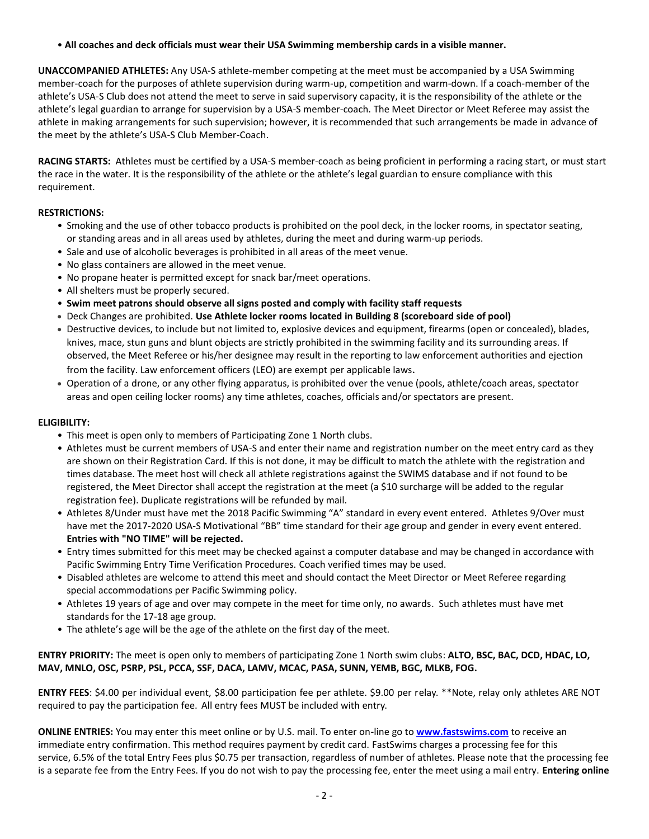• **All coaches and deck officials must wear their USA Swimming membership cards in a visible manner.** 

**UNACCOMPANIED ATHLETES:** Any USA-S athlete-member competing at the meet must be accompanied by a USA Swimming member-coach for the purposes of athlete supervision during warm-up, competition and warm-down. If a coach-member of the athlete's USA-S Club does not attend the meet to serve in said supervisory capacity, it is the responsibility of the athlete or the athlete's legal guardian to arrange for supervision by a USA-S member-coach. The Meet Director or Meet Referee may assist the athlete in making arrangements for such supervision; however, it is recommended that such arrangements be made in advance of the meet by the athlete's USA-S Club Member-Coach.

**RACING STARTS:** Athletes must be certified by a USA-S member-coach as being proficient in performing a racing start, or must start the race in the water. It is the responsibility of the athlete or the athlete's legal guardian to ensure compliance with this requirement.

## **RESTRICTIONS:**

- Smoking and the use of other tobacco products is prohibited on the pool deck, in the locker rooms, in spectator seating, or standing areas and in all areas used by athletes, during the meet and during warm-up periods.
- Sale and use of alcoholic beverages is prohibited in all areas of the meet venue.
- No glass containers are allowed in the meet venue.
- No propane heater is permitted except for snack bar/meet operations.
- All shelters must be properly secured.
- **Swim meet patrons should observe all signs posted and comply with facility staff requests**
- Deck Changes are prohibited. **Use Athlete locker rooms located in Building 8 (scoreboard side of pool)**
- Destructive devices, to include but not limited to, explosive devices and equipment, firearms (open or concealed), blades, knives, mace, stun guns and blunt objects are strictly prohibited in the swimming facility and its surrounding areas. If observed, the Meet Referee or his/her designee may result in the reporting to law enforcement authorities and ejection from the facility. Law enforcement officers (LEO) are exempt per applicable laws.
- Operation of a drone, or any other flying apparatus, is prohibited over the venue (pools, athlete/coach areas, spectator areas and open ceiling locker rooms) any time athletes, coaches, officials and/or spectators are present.

## **ELIGIBILITY:**

- This meet is open only to members of Participating Zone 1 North clubs.
- Athletes must be current members of USA-S and enter their name and registration number on the meet entry card as they are shown on their Registration Card. If this is not done, it may be difficult to match the athlete with the registration and times database. The meet host will check all athlete registrations against the SWIMS database and if not found to be registered, the Meet Director shall accept the registration at the meet (a \$10 surcharge will be added to the regular registration fee). Duplicate registrations will be refunded by mail.
- Athletes 8/Under must have met the 2018 Pacific Swimming "A" standard in every event entered. Athletes 9/Over must have met the 2017-2020 USA-S Motivational "BB" time standard for their age group and gender in every event entered. **Entries with "NO TIME" will be rejected.**
- Entry times submitted for this meet may be checked against a computer database and may be changed in accordance with Pacific Swimming Entry Time Verification Procedures. Coach verified times may be used.
- Disabled athletes are welcome to attend this meet and should contact the Meet Director or Meet Referee regarding special accommodations per Pacific Swimming policy.
- Athletes 19 years of age and over may compete in the meet for time only, no awards. Such athletes must have met standards for the 17-18 age group.
- The athlete's age will be the age of the athlete on the first day of the meet.

**ENTRY PRIORITY:** The meet is open only to members of participating Zone 1 North swim clubs: **ALTO, BSC, BAC, DCD, HDAC, LO, MAV, MNLO, OSC, PSRP, PSL, PCCA, SSF, DACA, LAMV, MCAC, PASA, SUNN, YEMB, BGC, MLKB, FOG.**

**ENTRY FEES**: \$4.00 per individual event, \$8.00 participation fee per athlete. \$9.00 per relay. \*\*Note, relay only athletes ARE NOT required to pay the participation fee. All entry fees MUST be included with entry.

**ONLINE ENTRIES:** You may enter this meet online or by U.S. mail. To enter on-line go to **[www.fastswims.com](http://www.fastswims.com/)** to receive an immediate entry confirmation. This method requires payment by credit card. FastSwims charges a processing fee for this service, 6.5% of the total Entry Fees plus \$0.75 per transaction, regardless of number of athletes. Please note that the processing fee is a separate fee from the Entry Fees. If you do not wish to pay the processing fee, enter the meet using a mail entry. **Entering online**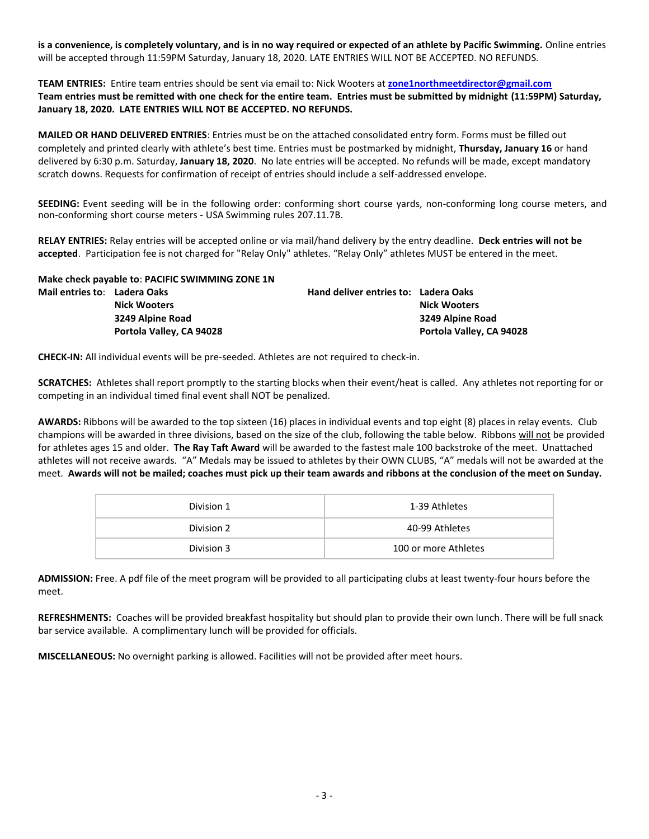**is a convenience, is completely voluntary, and is in no way required or expected of an athlete by Pacific Swimming.** Online entries will be accepted through 11:59PM Saturday, January 18, 2020. LATE ENTRIES WILL NOT BE ACCEPTED. NO REFUNDS.

**TEAM ENTRIES:** Entire team entries should be sent via email to: Nick Wooters at **[zone1northmeetdirector@gmail.com](mailto:zone1northmeetdirector@gmail.com) Team entries must be remitted with one check for the entire team. Entries must be submitted by midnight (11:59PM) Saturday, January 18, 2020. LATE ENTRIES WILL NOT BE ACCEPTED. NO REFUNDS.**

**MAILED OR HAND DELIVERED ENTRIES**: Entries must be on the attached consolidated entry form. Forms must be filled out completely and printed clearly with athlete's best time. Entries must be postmarked by midnight, **Thursday, January 16** or hand delivered by 6:30 p.m. Saturday, **January 18, 2020**. No late entries will be accepted. No refunds will be made, except mandatory scratch downs. Requests for confirmation of receipt of entries should include a self-addressed envelope.

**SEEDING:** Event seeding will be in the following order: conforming short course yards, non-conforming long course meters, and non-conforming short course meters - USA Swimming rules 207.11.7B.

**RELAY ENTRIES:** Relay entries will be accepted online or via mail/hand delivery by the entry deadline. **Deck entries will not be accepted**. Participation fee is not charged for "Relay Only" athletes. "Relay Only" athletes MUST be entered in the meet.

|                              | Make check payable to: PACIFIC SWIMMING ZONE 1N |                                      |                          |
|------------------------------|-------------------------------------------------|--------------------------------------|--------------------------|
| Mail entries to: Ladera Oaks |                                                 | Hand deliver entries to: Ladera Oaks |                          |
|                              | <b>Nick Wooters</b>                             |                                      | <b>Nick Wooters</b>      |
|                              | 3249 Alpine Road                                |                                      | 3249 Alpine Road         |
|                              | Portola Valley, CA 94028                        |                                      | Portola Valley, CA 94028 |

**CHECK-IN:** All individual events will be pre-seeded. Athletes are not required to check-in.

**SCRATCHES:** Athletes shall report promptly to the starting blocks when their event/heat is called. Any athletes not reporting for or competing in an individual timed final event shall NOT be penalized.

**AWARDS:** Ribbons will be awarded to the top sixteen (16) places in individual events and top eight (8) places in relay events. Club champions will be awarded in three divisions, based on the size of the club, following the table below. Ribbons will not be provided for athletes ages 15 and older. **The Ray Taft Award** will be awarded to the fastest male 100 backstroke of the meet. Unattached athletes will not receive awards. "A" Medals may be issued to athletes by their OWN CLUBS, "A" medals will not be awarded at the meet. **Awards will not be mailed; coaches must pick up their team awards and ribbons at the conclusion of the meet on Sunday.** 

| Division 1 | 1-39 Athletes        |
|------------|----------------------|
| Division 2 | 40-99 Athletes       |
| Division 3 | 100 or more Athletes |

**ADMISSION:** Free. A pdf file of the meet program will be provided to all participating clubs at least twenty-four hours before the meet.

**REFRESHMENTS:** Coaches will be provided breakfast hospitality but should plan to provide their own lunch. There will be full snack bar service available. A complimentary lunch will be provided for officials.

**MISCELLANEOUS:** No overnight parking is allowed. Facilities will not be provided after meet hours.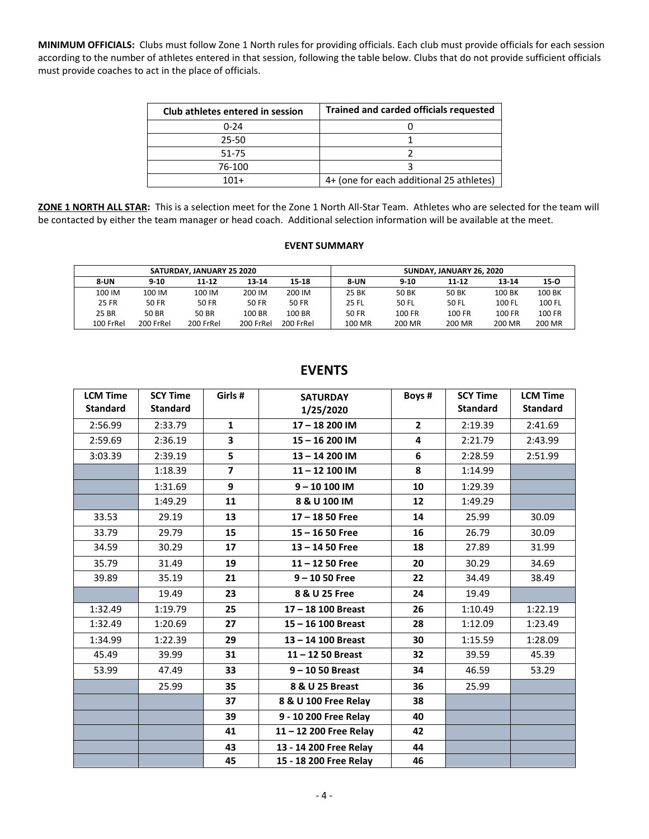**MINIMUM OFFICIALS:** Clubs must follow Zone 1 North rules for providing officials. Each club must provide officials for each session according to the number of athletes entered in that session, following the table below. Clubs that do not provide sufficient officials must provide coaches to act in the place of officials.

| Club athletes entered in session | <b>Trained and carded officials requested</b> |
|----------------------------------|-----------------------------------------------|
| $0 - 24$                         |                                               |
| $25 - 50$                        |                                               |
| 51-75                            |                                               |
| 76-100                           |                                               |
| $101+$                           | 4+ (one for each additional 25 athletes)      |

**ZONE 1 NORTH ALL STAR:** This is a selection meet for the Zone 1 North All-Star Team. Athletes who are selected for the team will be contacted by either the team manager or head coach. Additional selection information will be available at the meet.

#### **EVENT SUMMARY**

|              |           | SATURDAY, JANUARY 25 2020 |           |           |              | SUNDAY, JANUARY 26, 2020 |           |               |        |
|--------------|-----------|---------------------------|-----------|-----------|--------------|--------------------------|-----------|---------------|--------|
| <b>8-UN</b>  | $9 - 10$  | 11-12                     | 13-14     | 15-18     | <b>8-UN</b>  | $9 - 10$                 | $11 - 12$ | 13-14         | $15-0$ |
| 100 IM       | 100 IM    | 100 IM                    | 200 IM    | 200 IM    | 25 BK        | 50 BK                    | 50 BK     | 100 BK        | 100 BK |
| <b>25 FR</b> | 50 FR     | 50 FR                     | 50 FR     | 50 FR     | 25 FL        | 50 FL                    | 50 FL     | 100 FL        | 100 FL |
| 25 BR        | 50 BR     | 50 BR                     | 100 BR    | 100 BR    | <b>50 FR</b> | 100 FR                   | 100 FR    | <b>100 FR</b> | 100 FR |
| 100 FrRel    | 200 FrRel | 200 FrRel                 | 200 FrRel | 200 FrRel | 100 MR       | 200 MR                   | 200 MR    | 200 MR        | 200 MR |

| <b>LCM Time</b> | <b>SCY Time</b> | Girls#         | <b>SATURDAY</b>        | Boys#          | <b>SCY Time</b> | <b>LCM Time</b> |
|-----------------|-----------------|----------------|------------------------|----------------|-----------------|-----------------|
| <b>Standard</b> | <b>Standard</b> |                | 1/25/2020              |                | <b>Standard</b> | <b>Standard</b> |
| 2:56.99         | 2:33.79         | $\mathbf{1}$   | 17-18 200 IM           | $\overline{2}$ | 2:19.39         | 2:41.69         |
| 2:59.69         | 2:36.19         | 3              | 15-16 200 IM           | 4              | 2:21.79         | 2:43.99         |
| 3:03.39         | 2:39.19         | 5              | 13-14 200 IM           | 6              | 2:28.59         | 2:51.99         |
|                 | 1:18.39         | $\overline{7}$ | 11-12 100 IM           | 8              | 1:14.99         |                 |
|                 | 1:31.69         | 9              | $9 - 10100$ IM         | 10             | 1:29.39         |                 |
|                 | 1:49.29         | 11             | 8 & U 100 IM           | 12             | 1:49.29         |                 |
| 33.53           | 29.19           | 13             | $17 - 1850$ Free       | 14             | 25.99           | 30.09           |
| 33.79           | 29.79           | 15             | $15 - 1650$ Free       | 16             | 26.79           | 30.09           |
| 34.59           | 30.29           | 17             | $13 - 1450$ Free       | 18             | 27.89           | 31.99           |
| 35.79           | 31.49           | 19             | $11 - 1250$ Free       | 20             | 30.29           | 34.69           |
| 39.89           | 35.19           | 21             | $9 - 1050$ Free        | 22             | 34.49           | 38.49           |
|                 | 19.49           | 23             | 8 & U 25 Free          | 24             | 19.49           |                 |
| 1:32.49         | 1:19.79         | 25             | 17-18 100 Breast       | 26             | 1:10.49         | 1:22.19         |
| 1:32.49         | 1:20.69         | 27             | 15-16 100 Breast       | 28             | 1:12.09         | 1:23.49         |
| 1:34.99         | 1:22.39         | 29             | 13-14 100 Breast       | 30             | 1:15.59         | 1:28.09         |
| 45.49           | 39.99           | 31             | $11 - 1250$ Breast     | 32             | 39.59           | 45.39           |
| 53.99           | 47.49           | 33             | $9 - 1050$ Breast      | 34             | 46.59           | 53.29           |
|                 | 25.99           | 35             | 8 & U 25 Breast        | 36             | 25.99           |                 |
|                 |                 | 37             | 8 & U 100 Free Relay   | 38             |                 |                 |
|                 |                 | 39             | 9 - 10 200 Free Relay  | 40             |                 |                 |
|                 |                 | 41             | 11-12 200 Free Relay   | 42             |                 |                 |
|                 |                 | 43             | 13 - 14 200 Free Relay | 44             |                 |                 |
|                 |                 | 45             | 15 - 18 200 Free Relay | 46             |                 |                 |

# **EVENTS**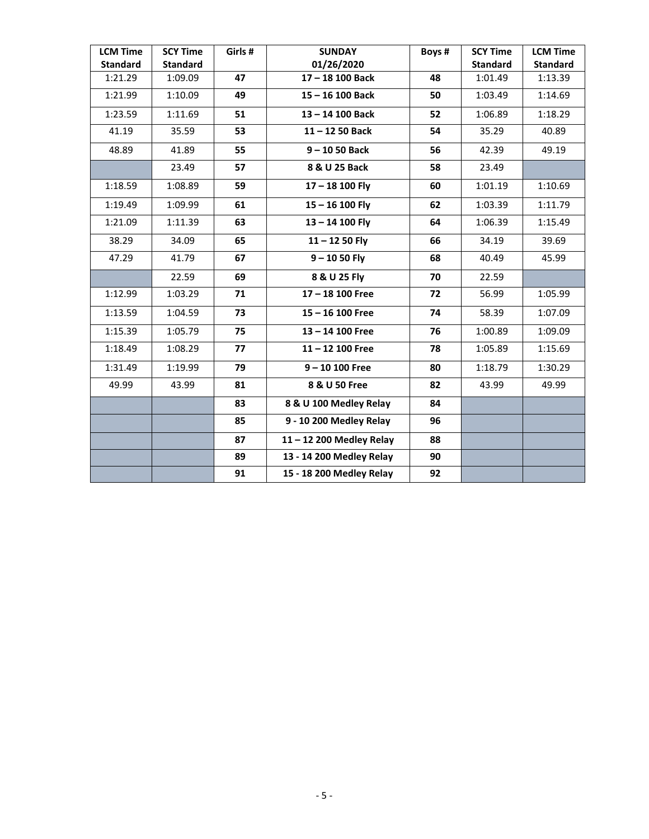| <b>LCM Time</b> | <b>SCY Time</b> | Girls # | <b>SUNDAY</b>            | Boys # | <b>SCY Time</b> | <b>LCM Time</b> |
|-----------------|-----------------|---------|--------------------------|--------|-----------------|-----------------|
| <b>Standard</b> | <b>Standard</b> |         | 01/26/2020               |        | <b>Standard</b> | <b>Standard</b> |
| 1:21.29         | 1:09.09         | 47      | 17-18 100 Back           | 48     | 1:01.49         | 1:13.39         |
| 1:21.99         | 1:10.09         | 49      | 15-16 100 Back           | 50     | 1:03.49         | 1:14.69         |
| 1:23.59         | 1:11.69         | 51      | 13-14 100 Back           | 52     | 1:06.89         | 1:18.29         |
| 41.19           | 35.59           | 53      | $11 - 1250$ Back         | 54     | 35.29           | 40.89           |
| 48.89           | 41.89           | 55      | $9 - 1050$ Back          | 56     | 42.39           | 49.19           |
|                 | 23.49           | 57      | 8 & U 25 Back            | 58     | 23.49           |                 |
| 1:18.59         | 1:08.89         | 59      | $17 - 18$ 100 Fly        | 60     | 1:01.19         | 1:10.69         |
| 1:19.49         | 1:09.99         | 61      | $15 - 16$ 100 Fly        | 62     | 1:03.39         | 1:11.79         |
| 1:21.09         | 1:11.39         | 63      | $13 - 14$ 100 Fly        | 64     | 1:06.39         | 1:15.49         |
| 38.29           | 34.09           | 65      | $11 - 1250$ Fly          | 66     | 34.19           | 39.69           |
| 47.29           | 41.79           | 67      | $9 - 1050$ Fly           | 68     | 40.49           | 45.99           |
|                 | 22.59           | 69      | 8 & U 25 Fly             | 70     | 22.59           |                 |
| 1:12.99         | 1:03.29         | 71      | 17-18 100 Free           | 72     | 56.99           | 1:05.99         |
| 1:13.59         | 1:04.59         | 73      | $15 - 16$ 100 Free       | 74     | 58.39           | 1:07.09         |
| 1:15.39         | 1:05.79         | 75      | 13-14 100 Free           | 76     | 1:00.89         | 1:09.09         |
| 1:18.49         | 1:08.29         | 77      | $11 - 12$ 100 Free       | 78     | 1:05.89         | 1:15.69         |
| 1:31.49         | 1:19.99         | 79      | $9 - 10 100$ Free        | 80     | 1:18.79         | 1:30.29         |
| 49.99           | 43.99           | 81      | 8 & U 50 Free            | 82     | 43.99           | 49.99           |
|                 |                 | 83      | 8 & U 100 Medley Relay   | 84     |                 |                 |
|                 |                 | 85      | 9 - 10 200 Medley Relay  | 96     |                 |                 |
|                 |                 | 87      | 11-12 200 Medley Relay   | 88     |                 |                 |
|                 |                 | 89      | 13 - 14 200 Medley Relay | 90     |                 |                 |
|                 |                 | 91      | 15 - 18 200 Medley Relay | 92     |                 |                 |